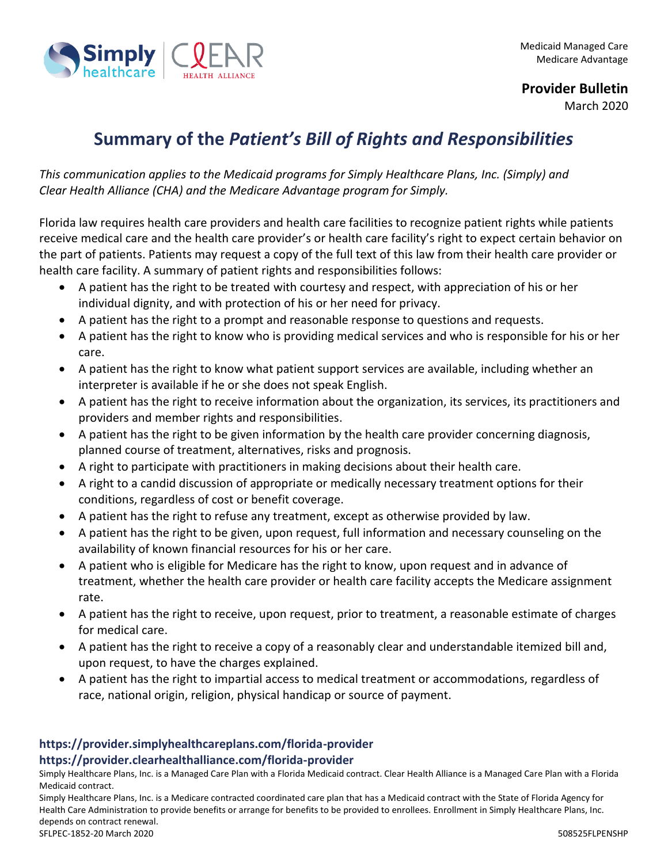

**Provider Bulletin**

March 2020

## **Summary of the** *Patient's Bill of Rights and Responsibilities*

*This communication applies to the Medicaid programs for Simply Healthcare Plans, Inc. (Simply) and Clear Health Alliance (CHA) and the Medicare Advantage program for Simply.*

Florida law requires health care providers and health care facilities to recognize patient rights while patients receive medical care and the health care provider's or health care facility's right to expect certain behavior on the part of patients. Patients may request a copy of the full text of this law from their health care provider or health care facility. A summary of patient rights and responsibilities follows:

- A patient has the right to be treated with courtesy and respect, with appreciation of his or her individual dignity, and with protection of his or her need for privacy.
- A patient has the right to a prompt and reasonable response to questions and requests.
- A patient has the right to know who is providing medical services and who is responsible for his or her care.
- A patient has the right to know what patient support services are available, including whether an interpreter is available if he or she does not speak English.
- A patient has the right to receive information about the organization, its services, its practitioners and providers and member rights and responsibilities.
- A patient has the right to be given information by the health care provider concerning diagnosis, planned course of treatment, alternatives, risks and prognosis.
- A right to participate with practitioners in making decisions about their health care.
- A right to a candid discussion of appropriate or medically necessary treatment options for their conditions, regardless of cost or benefit coverage.
- A patient has the right to refuse any treatment, except as otherwise provided by law.
- A patient has the right to be given, upon request, full information and necessary counseling on the availability of known financial resources for his or her care.
- A patient who is eligible for Medicare has the right to know, upon request and in advance of treatment, whether the health care provider or health care facility accepts the Medicare assignment rate.
- A patient has the right to receive, upon request, prior to treatment, a reasonable estimate of charges for medical care.
- A patient has the right to receive a copy of a reasonably clear and understandable itemized bill and, upon request, to have the charges explained.
- A patient has the right to impartial access to medical treatment or accommodations, regardless of race, national origin, religion, physical handicap or source of payment.

## **https://provider.simplyhealthcareplans.com/florida-provider https://provider.clearhealthalliance.com/florida-provider**

Simply Healthcare Plans, Inc. is a Managed Care Plan with a Florida Medicaid contract. Clear Health Alliance is a Managed Care Plan with a Florida Medicaid contract.

Simply Healthcare Plans, Inc. is a Medicare contracted coordinated care plan that has a Medicaid contract with the State of Florida Agency for Health Care Administration to provide benefits or arrange for benefits to be provided to enrollees. Enrollment in Simply Healthcare Plans, Inc. depends on contract renewal. SFLPEC-1852-20 March 2020 508525FLPENSHP